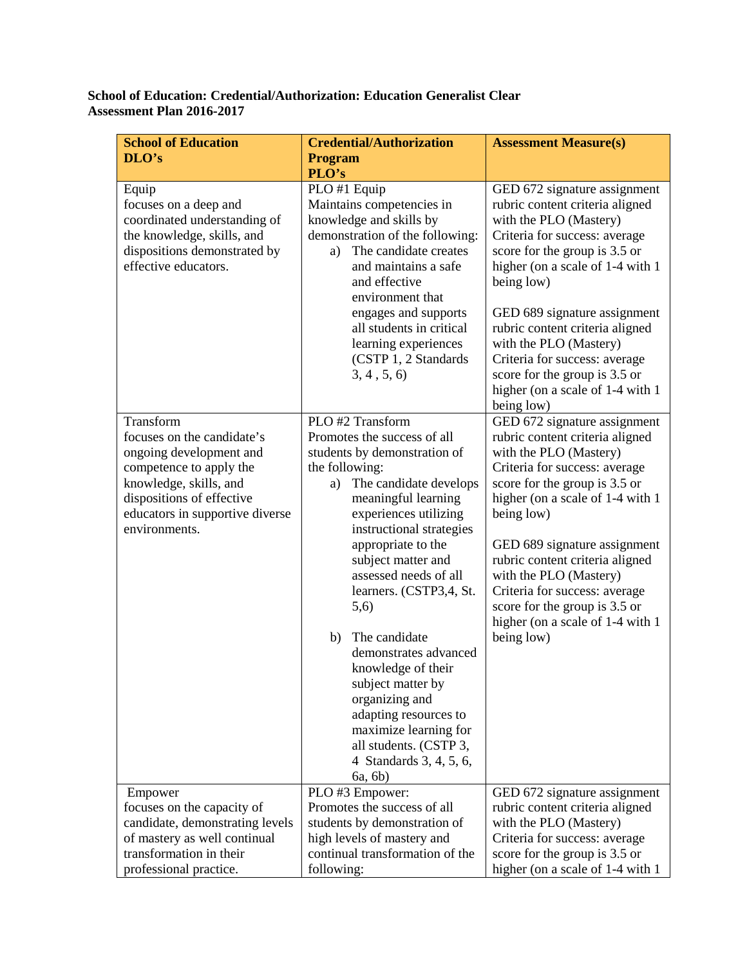## **School of Education: Credential/Authorization: Education Generalist Clear Assessment Plan 2016-2017**

| <b>School of Education</b>                                                                                                                                                                               | <b>Credential/Authorization</b>                                                                                                                                                                                                                                                                                                                                                                                                                                                                                                                       | <b>Assessment Measure(s)</b>                                                                                                                                                                                                                                                                                                                                                                                                   |
|----------------------------------------------------------------------------------------------------------------------------------------------------------------------------------------------------------|-------------------------------------------------------------------------------------------------------------------------------------------------------------------------------------------------------------------------------------------------------------------------------------------------------------------------------------------------------------------------------------------------------------------------------------------------------------------------------------------------------------------------------------------------------|--------------------------------------------------------------------------------------------------------------------------------------------------------------------------------------------------------------------------------------------------------------------------------------------------------------------------------------------------------------------------------------------------------------------------------|
| DLO's                                                                                                                                                                                                    | <b>Program</b>                                                                                                                                                                                                                                                                                                                                                                                                                                                                                                                                        |                                                                                                                                                                                                                                                                                                                                                                                                                                |
|                                                                                                                                                                                                          | PLO's                                                                                                                                                                                                                                                                                                                                                                                                                                                                                                                                                 |                                                                                                                                                                                                                                                                                                                                                                                                                                |
| Equip<br>focuses on a deep and<br>coordinated understanding of<br>the knowledge, skills, and<br>dispositions demonstrated by<br>effective educators.                                                     | PLO #1 Equip<br>Maintains competencies in<br>knowledge and skills by<br>demonstration of the following:<br>The candidate creates<br>a)<br>and maintains a safe<br>and effective<br>environment that<br>engages and supports<br>all students in critical<br>learning experiences<br>(CSTP 1, 2 Standards<br>3, 4, 5, 6                                                                                                                                                                                                                                 | GED 672 signature assignment<br>rubric content criteria aligned<br>with the PLO (Mastery)<br>Criteria for success: average<br>score for the group is 3.5 or<br>higher (on a scale of 1-4 with 1<br>being low)<br>GED 689 signature assignment<br>rubric content criteria aligned<br>with the PLO (Mastery)<br>Criteria for success: average<br>score for the group is 3.5 or<br>higher (on a scale of 1-4 with 1               |
|                                                                                                                                                                                                          |                                                                                                                                                                                                                                                                                                                                                                                                                                                                                                                                                       | being low)                                                                                                                                                                                                                                                                                                                                                                                                                     |
| Transform<br>focuses on the candidate's<br>ongoing development and<br>competence to apply the<br>knowledge, skills, and<br>dispositions of effective<br>educators in supportive diverse<br>environments. | PLO #2 Transform<br>Promotes the success of all<br>students by demonstration of<br>the following:<br>The candidate develops<br>a)<br>meaningful learning<br>experiences utilizing<br>instructional strategies<br>appropriate to the<br>subject matter and<br>assessed needs of all<br>learners. (CSTP3,4, St.<br>(5,6)<br>The candidate<br>b)<br>demonstrates advanced<br>knowledge of their<br>subject matter by<br>organizing and<br>adapting resources to<br>maximize learning for<br>all students. (CSTP 3,<br>4 Standards 3, 4, 5, 6,<br>6a, 6b) | GED 672 signature assignment<br>rubric content criteria aligned<br>with the PLO (Mastery)<br>Criteria for success: average<br>score for the group is 3.5 or<br>higher (on a scale of 1-4 with 1<br>being low)<br>GED 689 signature assignment<br>rubric content criteria aligned<br>with the PLO (Mastery)<br>Criteria for success: average<br>score for the group is 3.5 or<br>higher (on a scale of 1-4 with 1<br>being low) |
| Empower<br>focuses on the capacity of<br>candidate, demonstrating levels<br>of mastery as well continual<br>transformation in their<br>professional practice.                                            | PLO #3 Empower:<br>Promotes the success of all<br>students by demonstration of<br>high levels of mastery and<br>continual transformation of the<br>following:                                                                                                                                                                                                                                                                                                                                                                                         | GED 672 signature assignment<br>rubric content criteria aligned<br>with the PLO (Mastery)<br>Criteria for success: average<br>score for the group is 3.5 or<br>higher (on a scale of 1-4 with 1)                                                                                                                                                                                                                               |